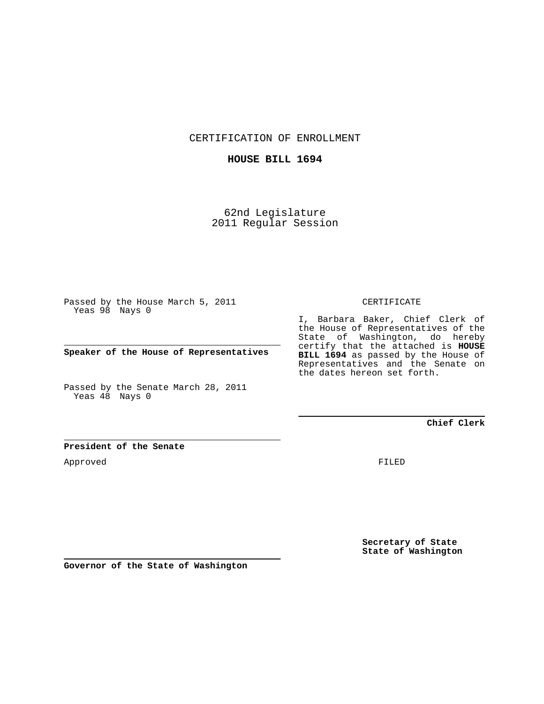CERTIFICATION OF ENROLLMENT

## **HOUSE BILL 1694**

62nd Legislature 2011 Regular Session

Passed by the House March 5, 2011 Yeas 98 Nays 0

**Speaker of the House of Representatives**

Passed by the Senate March 28, 2011 Yeas 48 Nays 0

#### CERTIFICATE

I, Barbara Baker, Chief Clerk of the House of Representatives of the State of Washington, do hereby certify that the attached is **HOUSE BILL 1694** as passed by the House of Representatives and the Senate on the dates hereon set forth.

**Chief Clerk**

## **President of the Senate**

Approved

FILED

**Secretary of State State of Washington**

**Governor of the State of Washington**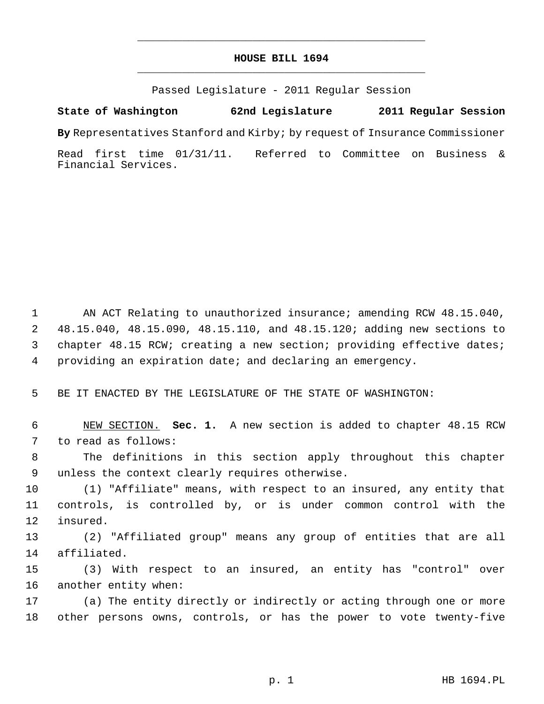# **HOUSE BILL 1694** \_\_\_\_\_\_\_\_\_\_\_\_\_\_\_\_\_\_\_\_\_\_\_\_\_\_\_\_\_\_\_\_\_\_\_\_\_\_\_\_\_\_\_\_\_

\_\_\_\_\_\_\_\_\_\_\_\_\_\_\_\_\_\_\_\_\_\_\_\_\_\_\_\_\_\_\_\_\_\_\_\_\_\_\_\_\_\_\_\_\_

Passed Legislature - 2011 Regular Session

## **State of Washington 62nd Legislature 2011 Regular Session**

**By** Representatives Stanford and Kirby; by request of Insurance Commissioner

Read first time 01/31/11. Referred to Committee on Business & Financial Services.

 1 AN ACT Relating to unauthorized insurance; amending RCW 48.15.040, 2 48.15.040, 48.15.090, 48.15.110, and 48.15.120; adding new sections to 3 chapter 48.15 RCW; creating a new section; providing effective dates; 4 providing an expiration date; and declaring an emergency.

5 BE IT ENACTED BY THE LEGISLATURE OF THE STATE OF WASHINGTON:

 6 NEW SECTION. **Sec. 1.** A new section is added to chapter 48.15 RCW 7 to read as follows:

 8 The definitions in this section apply throughout this chapter 9 unless the context clearly requires otherwise.

10 (1) "Affiliate" means, with respect to an insured, any entity that 11 controls, is controlled by, or is under common control with the 12 insured.

13 (2) "Affiliated group" means any group of entities that are all 14 affiliated.

15 (3) With respect to an insured, an entity has "control" over 16 another entity when:

17 (a) The entity directly or indirectly or acting through one or more 18 other persons owns, controls, or has the power to vote twenty-five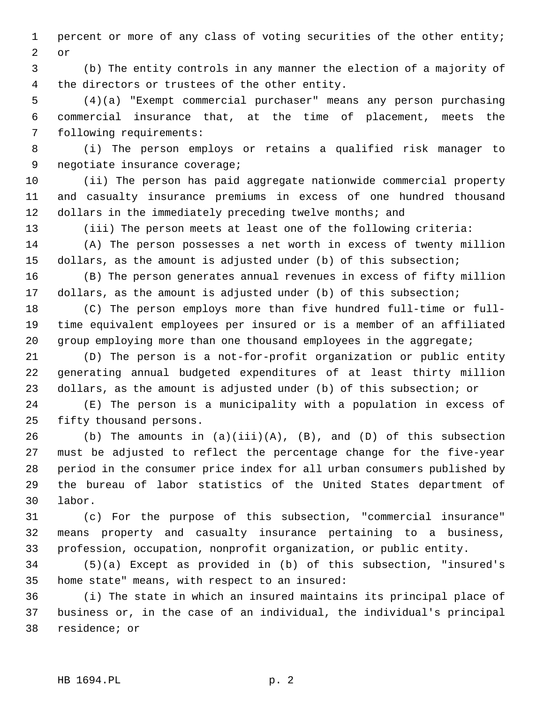1 percent or more of any class of voting securities of the other entity; 2 or

 3 (b) The entity controls in any manner the election of a majority of 4 the directors or trustees of the other entity.

 5 (4)(a) "Exempt commercial purchaser" means any person purchasing 6 commercial insurance that, at the time of placement, meets the 7 following requirements:

 8 (i) The person employs or retains a qualified risk manager to 9 negotiate insurance coverage;

10 (ii) The person has paid aggregate nationwide commercial property 11 and casualty insurance premiums in excess of one hundred thousand 12 dollars in the immediately preceding twelve months; and

13 (iii) The person meets at least one of the following criteria:

14 (A) The person possesses a net worth in excess of twenty million 15 dollars, as the amount is adjusted under (b) of this subsection;

16 (B) The person generates annual revenues in excess of fifty million 17 dollars, as the amount is adjusted under (b) of this subsection;

18 (C) The person employs more than five hundred full-time or full-19 time equivalent employees per insured or is a member of an affiliated 20 group employing more than one thousand employees in the aggregate;

21 (D) The person is a not-for-profit organization or public entity 22 generating annual budgeted expenditures of at least thirty million 23 dollars, as the amount is adjusted under (b) of this subsection; or

24 (E) The person is a municipality with a population in excess of 25 fifty thousand persons.

26 (b) The amounts in  $(a)(iii)(A)$ ,  $(B)$ , and  $(D)$  of this subsection 27 must be adjusted to reflect the percentage change for the five-year 28 period in the consumer price index for all urban consumers published by 29 the bureau of labor statistics of the United States department of 30 labor.

31 (c) For the purpose of this subsection, "commercial insurance" 32 means property and casualty insurance pertaining to a business, 33 profession, occupation, nonprofit organization, or public entity.

34 (5)(a) Except as provided in (b) of this subsection, "insured's 35 home state" means, with respect to an insured:

36 (i) The state in which an insured maintains its principal place of 37 business or, in the case of an individual, the individual's principal 38 residence; or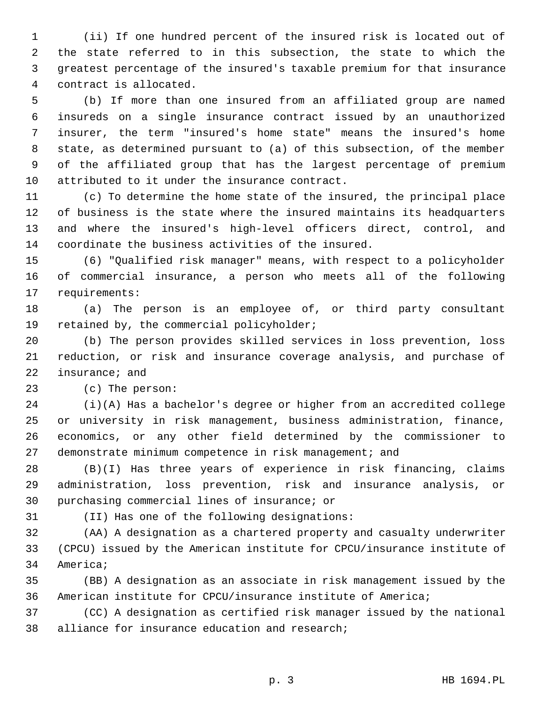1 (ii) If one hundred percent of the insured risk is located out of 2 the state referred to in this subsection, the state to which the 3 greatest percentage of the insured's taxable premium for that insurance 4 contract is allocated.

 5 (b) If more than one insured from an affiliated group are named 6 insureds on a single insurance contract issued by an unauthorized 7 insurer, the term "insured's home state" means the insured's home 8 state, as determined pursuant to (a) of this subsection, of the member 9 of the affiliated group that has the largest percentage of premium 10 attributed to it under the insurance contract.

11 (c) To determine the home state of the insured, the principal place 12 of business is the state where the insured maintains its headquarters 13 and where the insured's high-level officers direct, control, and 14 coordinate the business activities of the insured.

15 (6) "Qualified risk manager" means, with respect to a policyholder 16 of commercial insurance, a person who meets all of the following 17 requirements:

18 (a) The person is an employee of, or third party consultant 19 retained by, the commercial policyholder;

20 (b) The person provides skilled services in loss prevention, loss 21 reduction, or risk and insurance coverage analysis, and purchase of 22 insurance; and

23 (c) The person:

24 (i)(A) Has a bachelor's degree or higher from an accredited college 25 or university in risk management, business administration, finance, 26 economics, or any other field determined by the commissioner to 27 demonstrate minimum competence in risk management; and

28 (B)(I) Has three years of experience in risk financing, claims 29 administration, loss prevention, risk and insurance analysis, or 30 purchasing commercial lines of insurance; or

31 (II) Has one of the following designations:

32 (AA) A designation as a chartered property and casualty underwriter 33 (CPCU) issued by the American institute for CPCU/insurance institute of 34 America;

35 (BB) A designation as an associate in risk management issued by the 36 American institute for CPCU/insurance institute of America;

37 (CC) A designation as certified risk manager issued by the national 38 alliance for insurance education and research;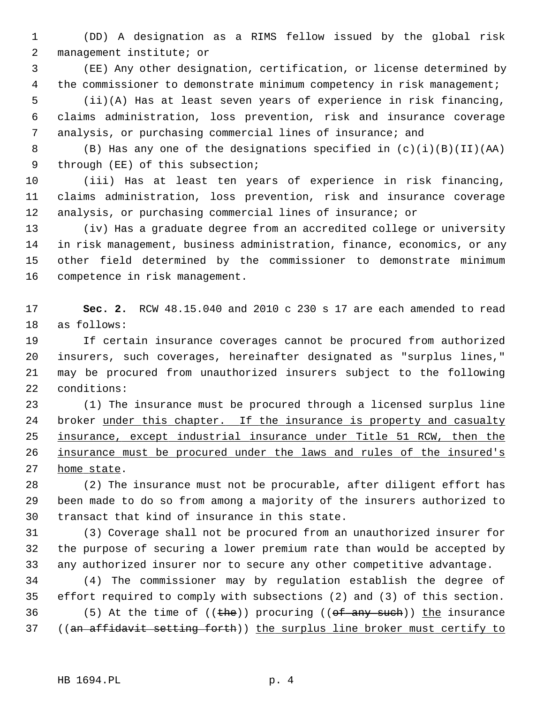1 (DD) A designation as a RIMS fellow issued by the global risk 2 management institute; or

 3 (EE) Any other designation, certification, or license determined by 4 the commissioner to demonstrate minimum competency in risk management;

 5 (ii)(A) Has at least seven years of experience in risk financing, 6 claims administration, loss prevention, risk and insurance coverage 7 analysis, or purchasing commercial lines of insurance; and

 8 (B) Has any one of the designations specified in (c)(i)(B)(II)(AA) 9 through (EE) of this subsection;

10 (iii) Has at least ten years of experience in risk financing, 11 claims administration, loss prevention, risk and insurance coverage 12 analysis, or purchasing commercial lines of insurance; or

13 (iv) Has a graduate degree from an accredited college or university 14 in risk management, business administration, finance, economics, or any 15 other field determined by the commissioner to demonstrate minimum 16 competence in risk management.

17 **Sec. 2.** RCW 48.15.040 and 2010 c 230 s 17 are each amended to read 18 as follows:

19 If certain insurance coverages cannot be procured from authorized 20 insurers, such coverages, hereinafter designated as "surplus lines," 21 may be procured from unauthorized insurers subject to the following 22 conditions:

23 (1) The insurance must be procured through a licensed surplus line 24 broker under this chapter. If the insurance is property and casualty 25 insurance, except industrial insurance under Title 51 RCW, then the 26 insurance must be procured under the laws and rules of the insured's 27 home state.

28 (2) The insurance must not be procurable, after diligent effort has 29 been made to do so from among a majority of the insurers authorized to 30 transact that kind of insurance in this state.

31 (3) Coverage shall not be procured from an unauthorized insurer for 32 the purpose of securing a lower premium rate than would be accepted by 33 any authorized insurer nor to secure any other competitive advantage.

34 (4) The commissioner may by regulation establish the degree of 35 effort required to comply with subsections (2) and (3) of this section. 36 (5) At the time of  $((the))$  procuring  $((of$  any such)) the insurance 37 ((an affidavit setting forth)) the surplus line broker must certify to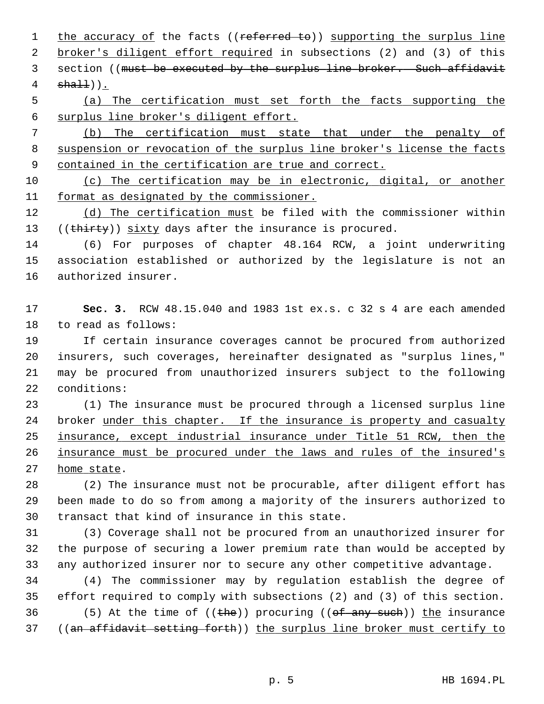1 the accuracy of the facts ((referred to)) supporting the surplus line 2 broker's diligent effort required in subsections (2) and (3) of this 3 section ((must be executed by the surplus line broker. Such affidavit  $4$   $sha11$ )).

 5 (a) The certification must set forth the facts supporting the 6 surplus line broker's diligent effort.

 7 (b) The certification must state that under the penalty of 8 suspension or revocation of the surplus line broker's license the facts 9 contained in the certification are true and correct.

10 (c) The certification may be in electronic, digital, or another 11 format as designated by the commissioner.

12 (d) The certification must be filed with the commissioner within 13 ((thirty)) sixty days after the insurance is procured.

14 (6) For purposes of chapter 48.164 RCW, a joint underwriting 15 association established or authorized by the legislature is not an 16 authorized insurer.

17 **Sec. 3.** RCW 48.15.040 and 1983 1st ex.s. c 32 s 4 are each amended 18 to read as follows:

19 If certain insurance coverages cannot be procured from authorized 20 insurers, such coverages, hereinafter designated as "surplus lines," 21 may be procured from unauthorized insurers subject to the following 22 conditions:

23 (1) The insurance must be procured through a licensed surplus line 24 broker under this chapter. If the insurance is property and casualty 25 insurance, except industrial insurance under Title 51 RCW, then the 26 insurance must be procured under the laws and rules of the insured's 27 home state.

28 (2) The insurance must not be procurable, after diligent effort has 29 been made to do so from among a majority of the insurers authorized to 30 transact that kind of insurance in this state.

31 (3) Coverage shall not be procured from an unauthorized insurer for 32 the purpose of securing a lower premium rate than would be accepted by 33 any authorized insurer nor to secure any other competitive advantage.

34 (4) The commissioner may by regulation establish the degree of 35 effort required to comply with subsections (2) and (3) of this section. 36 (5) At the time of  $((the))$  procuring  $((of$  any such)) the insurance 37 ((an affidavit setting forth)) the surplus line broker must certify to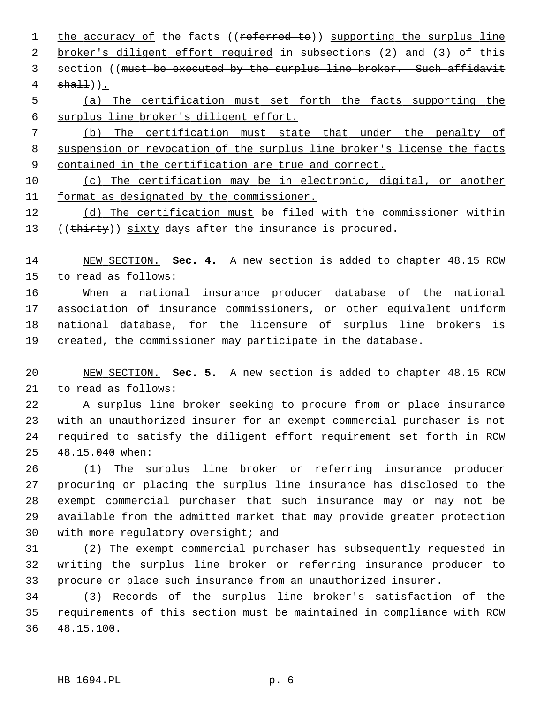1 the accuracy of the facts ((referred to)) supporting the surplus line 2 broker's diligent effort required in subsections (2) and (3) of this 3 section ((must be executed by the surplus line broker. Such affidavit  $4$   $sha11$ )).

 5 (a) The certification must set forth the facts supporting the 6 surplus line broker's diligent effort.

 7 (b) The certification must state that under the penalty of 8 suspension or revocation of the surplus line broker's license the facts 9 contained in the certification are true and correct.

10 (c) The certification may be in electronic, digital, or another 11 format as designated by the commissioner.

12 (d) The certification must be filed with the commissioner within 13 ((thirty)) sixty days after the insurance is procured.

14 NEW SECTION. **Sec. 4.** A new section is added to chapter 48.15 RCW 15 to read as follows:

16 When a national insurance producer database of the national 17 association of insurance commissioners, or other equivalent uniform 18 national database, for the licensure of surplus line brokers is 19 created, the commissioner may participate in the database.

20 NEW SECTION. **Sec. 5.** A new section is added to chapter 48.15 RCW 21 to read as follows:

22 A surplus line broker seeking to procure from or place insurance 23 with an unauthorized insurer for an exempt commercial purchaser is not 24 required to satisfy the diligent effort requirement set forth in RCW 25 48.15.040 when:

26 (1) The surplus line broker or referring insurance producer 27 procuring or placing the surplus line insurance has disclosed to the 28 exempt commercial purchaser that such insurance may or may not be 29 available from the admitted market that may provide greater protection 30 with more regulatory oversight; and

31 (2) The exempt commercial purchaser has subsequently requested in 32 writing the surplus line broker or referring insurance producer to 33 procure or place such insurance from an unauthorized insurer.

34 (3) Records of the surplus line broker's satisfaction of the 35 requirements of this section must be maintained in compliance with RCW 36 48.15.100.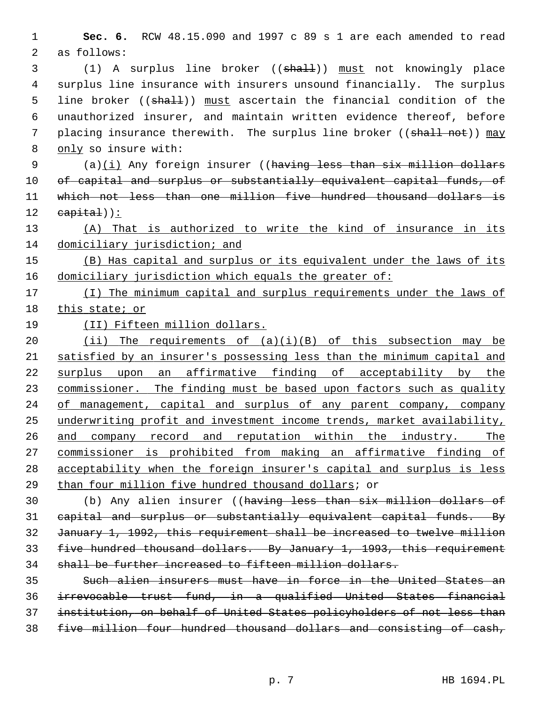**Sec. 6.** RCW 48.15.090 and 1997 c 89 s 1 are each amended to read 2 as follows:

 3 (1) A surplus line broker ((shall)) must not knowingly place 4 surplus line insurance with insurers unsound financially. The surplus 5 line broker ((shall)) must ascertain the financial condition of the 6 unauthorized insurer, and maintain written evidence thereof, before 7 placing insurance therewith. The surplus line broker ((shall not)) may only so insure with:

 $(a)(i)$  Any foreign insurer ((having less than six million dollars 10 of capital and surplus or substantially equivalent capital funds, of which not less than one million five hundred thousand dollars is capital)):

 (A) That is authorized to write the kind of insurance in its 14 domiciliary jurisdiction; and

 (B) Has capital and surplus or its equivalent under the laws of its domiciliary jurisdiction which equals the greater of:

 (I) The minimum capital and surplus requirements under the laws of this state; or

(II) Fifteen million dollars.

 $(ii)$  The requirements of  $(a)(i)(B)$  of this subsection may be satisfied by an insurer's possessing less than the minimum capital and surplus upon an affirmative finding of acceptability by the 23 commissioner. The finding must be based upon factors such as quality of management, capital and surplus of any parent company, company underwriting profit and investment income trends, market availability, and company record and reputation within the industry. The commissioner is prohibited from making an affirmative finding of acceptability when the foreign insurer's capital and surplus is less than four million five hundred thousand dollars; or

30 (b) Any alien insurer ((having less than six million dollars of capital and surplus or substantially equivalent capital funds. By January 1, 1992, this requirement shall be increased to twelve million five hundred thousand dollars. By January 1, 1993, this requirement shall be further increased to fifteen million dollars.

 Such alien insurers must have in force in the United States an irrevocable trust fund, in a qualified United States financial institution, on behalf of United States policyholders of not less than five million four hundred thousand dollars and consisting of cash,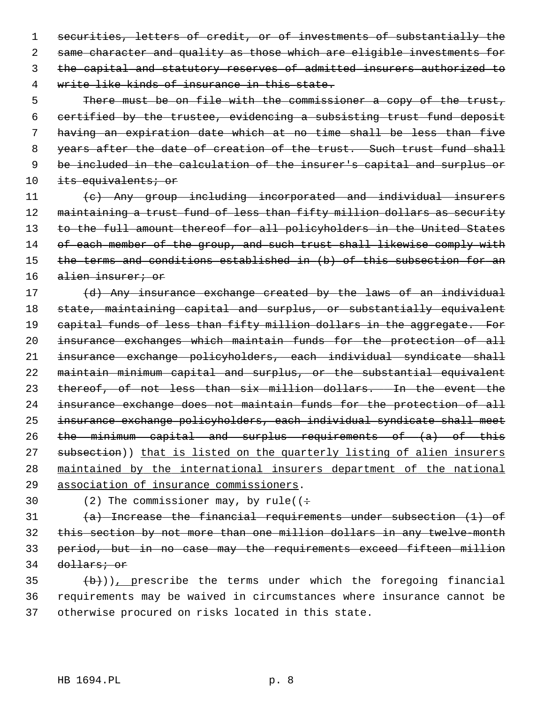securities, letters of credit, or of investments of substantially the same character and quality as those which are eligible investments for the capital and statutory reserves of admitted insurers authorized to write like kinds of insurance in this state.

 There must be on file with the commissioner a copy of the trust, certified by the trustee, evidencing a subsisting trust fund deposit having an expiration date which at no time shall be less than five 8 years after the date of creation of the trust. Such trust fund shall be included in the calculation of the insurer's capital and surplus or 10 its equivalents; or

11 (c) Any group including incorporated and individual insurers 12 maintaining a trust fund of less than fifty million dollars as security 13 to the full amount thereof for all policyholders in the United States 14 of each member of the group, and such trust shall likewise comply with 15 the terms and conditions established in (b) of this subsection for an 16 alien insurer; or

17 (d) Any insurance exchange created by the laws of an individual 18 state, maintaining capital and surplus, or substantially equivalent 19 capital funds of less than fifty million dollars in the aggregate. For insurance exchanges which maintain funds for the protection of all insurance exchange policyholders, each individual syndicate shall maintain minimum capital and surplus, or the substantial equivalent thereof, of not less than six million dollars. In the event the insurance exchange does not maintain funds for the protection of all insurance exchange policyholders, each individual syndicate shall meet the minimum capital and surplus requirements of (a) of this 27 subsection)) that is listed on the quarterly listing of alien insurers maintained by the international insurers department of the national association of insurance commissioners.

30 (2) The commissioner may, by rule( $($  ÷

 $(a)$  Increase the financial requirements under subsection (1) of this section by not more than one million dollars in any twelve-month period, but in no case may the requirements exceed fifteen million dollars; or

 $\left(\frac{b}{b}\right)$ ), prescribe the terms under which the foregoing financial 36 requirements may be waived in circumstances where insurance cannot be 37 otherwise procured on risks located in this state.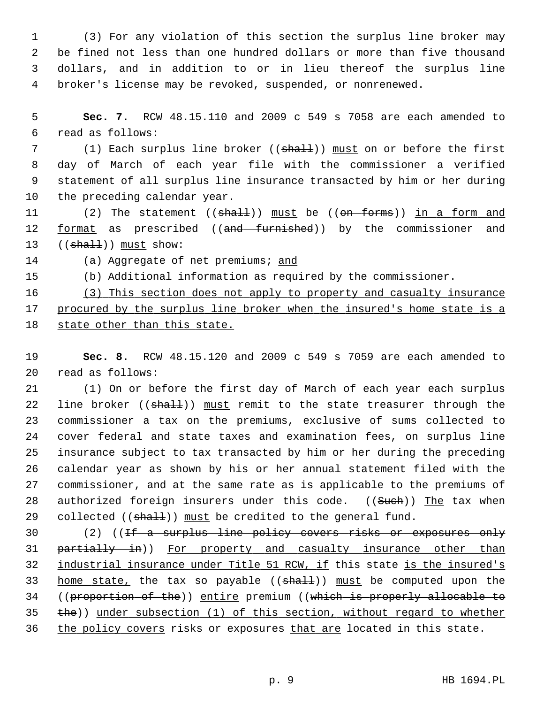1 (3) For any violation of this section the surplus line broker may 2 be fined not less than one hundred dollars or more than five thousand 3 dollars, and in addition to or in lieu thereof the surplus line 4 broker's license may be revoked, suspended, or nonrenewed.

 5 **Sec. 7.** RCW 48.15.110 and 2009 c 549 s 7058 are each amended to 6 read as follows:

7 (1) Each surplus line broker ((shall)) must on or before the first 8 day of March of each year file with the commissioner a verified 9 statement of all surplus line insurance transacted by him or her during 10 the preceding calendar year.

11 (2) The statement ((shall)) must be ((on forms)) in a form and 12 format as prescribed ((and furnished)) by the commissioner and 13  $((shall))$  must show:

14 (a) Aggregate of net premiums; and

15 (b) Additional information as required by the commissioner.

16 (3) This section does not apply to property and casualty insurance 17 procured by the surplus line broker when the insured's home state is a 18 state other than this state.

19 **Sec. 8.** RCW 48.15.120 and 2009 c 549 s 7059 are each amended to 20 read as follows:

21 (1) On or before the first day of March of each year each surplus 22 line broker  $((\text{shalt}))$  must remit to the state treasurer through the 23 commissioner a tax on the premiums, exclusive of sums collected to 24 cover federal and state taxes and examination fees, on surplus line 25 insurance subject to tax transacted by him or her during the preceding 26 calendar year as shown by his or her annual statement filed with the 27 commissioner, and at the same rate as is applicable to the premiums of 28 authorized foreign insurers under this code. ((Such)) The tax when 29 collected  $((\text{shalt}))$  must be credited to the general fund.

30 (2) ((If a surplus line policy covers risks or exposures only 31 partially in)) For property and casualty insurance other than 32 industrial insurance under Title 51 RCW, if this state is the insured's 33 home state, the tax so payable  $((\text{shalt}))$  must be computed upon the 34 ((proportion of the)) entire premium ((which is properly allocable to 35 the)) under subsection (1) of this section, without regard to whether 36 the policy covers risks or exposures that are located in this state.